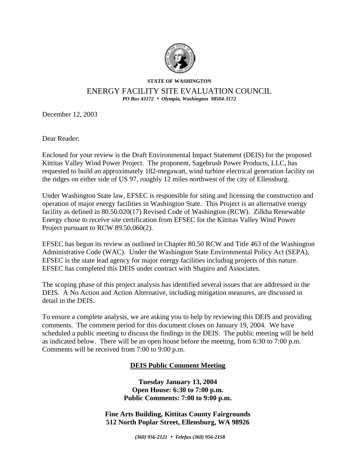

## **STATE OF WASHINGTON**

## ENERGY FACILITY SITE EVALUATION COUNCIL *PO Box 43172* • *Olympia, Washington 98504-3172*

December 12, 2003

Dear Reader:

Enclosed for your review is the Draft Environmental Impact Statement (DEIS) for the proposed Kittitas Valley Wind Power Project. The proponent, Sagebrush Power Products, LLC, has requested to build an approximately 182-megawatt, wind turbine electrical generation facility on the ridges on either side of US 97, roughly 12 miles northwest of the city of Ellensburg.

Under Washington State law, EFSEC is responsible for siting and licensing the construction and operation of major energy facilities in Washington State. This Project is an alternative energy facility as defined in 80.50.020(17) Revised Code of Washington (RCW). Zilkha Renewable Energy chose to receive site certification from EFSEC for the Kittitas Valley Wind Power Project pursuant to RCW 89.50.060(2).

EFSEC has begun its review as outlined in Chapter 80.50 RCW and Title 463 of the Washington Administrative Code (WAC). Under the Washington State Environmental Policy Act (SEPA), EFSEC is the state lead agency for major energy facilities including projects of this nature. EFSEC has completed this DEIS under contract with Shapiro and Associates.

The scoping phase of this project analysis has identified several issues that are addressed in the DEIS. A No Action and Action Alternative, including mitigation measures, are discussed in detail in the DEIS.

To ensure a complete analysis, we are asking you to help by reviewing this DEIS and providing comments. The comment period for this document closes on January 19, 2004. We have scheduled a public meeting to discuss the findings in the DEIS. The public meeting will be held as indicated below. There will be an open house before the meeting, from 6:30 to 7:00 p.m. Comments will be received from 7:00 to 9:00 p.m.

## **DEIS Public Comment Meeting**

**Tuesday January 13, 2004 Open House: 6:30 to 7:00 p.m. Public Comments: 7:00 to 9:00 p.m.**

**Fine Arts Building, Kittitas County Fairgrounds 512 North Poplar Street, Ellensburg, WA 98926**